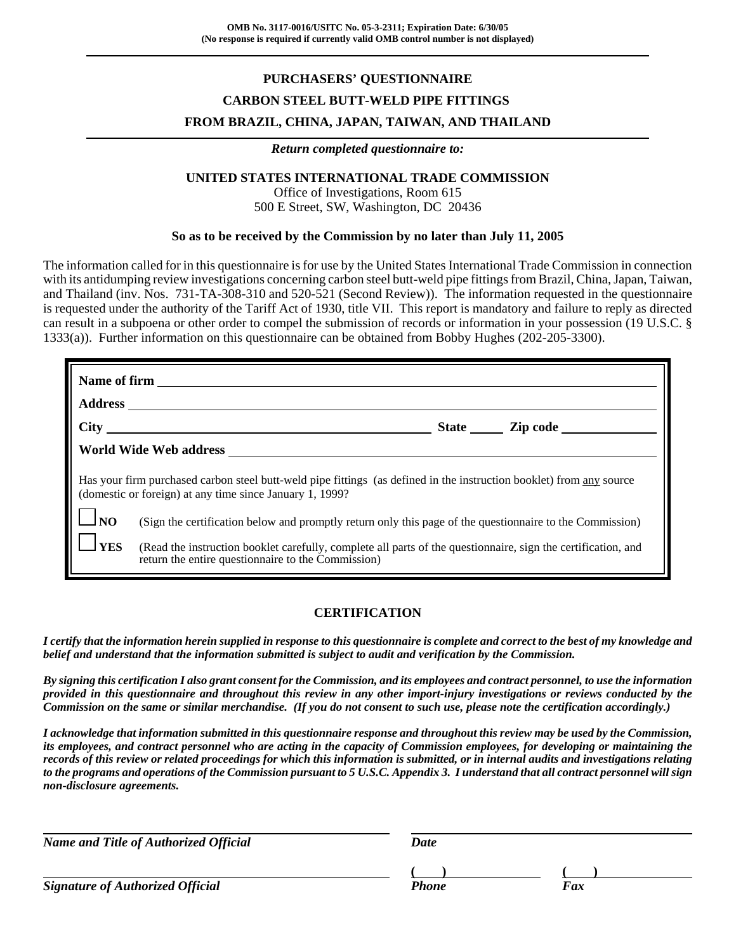# **PURCHASERS' QUESTIONNAIRE CARBON STEEL BUTT-WELD PIPE FITTINGS FROM BRAZIL, CHINA, JAPAN, TAIWAN, AND THAILAND**

#### *Return completed questionnaire to:*

### **UNITED STATES INTERNATIONAL TRADE COMMISSION**

Office of Investigations, Room 615 500 E Street, SW, Washington, DC 20436

#### **So as to be received by the Commission by no later than July 11, 2005**

The information called for in this questionnaire is for use by the United States International Trade Commission in connection with its antidumping review investigations concerning carbon steel butt-weld pipe fittings from Brazil, China, Japan, Taiwan, and Thailand (inv. Nos. 731-TA-308-310 and 520-521 (Second Review)). The information requested in the questionnaire is requested under the authority of the Tariff Act of 1930, title VII. This report is mandatory and failure to reply as directed can result in a subpoena or other order to compel the submission of records or information in your possession (19 U.S.C. § 1333(a)). Further information on this questionnaire can be obtained from Bobby Hughes (202-205-3300).

| <b>Address</b>                                                                                                                                                                   |                                                                                                                                                                     |  |  |  |  |
|----------------------------------------------------------------------------------------------------------------------------------------------------------------------------------|---------------------------------------------------------------------------------------------------------------------------------------------------------------------|--|--|--|--|
|                                                                                                                                                                                  |                                                                                                                                                                     |  |  |  |  |
|                                                                                                                                                                                  |                                                                                                                                                                     |  |  |  |  |
| Has your firm purchased carbon steel butt-weld pipe fittings (as defined in the instruction booklet) from any source<br>(domestic or foreign) at any time since January 1, 1999? |                                                                                                                                                                     |  |  |  |  |
| $\Box_{\text{NO}}$                                                                                                                                                               | (Sign the certification below and promptly return only this page of the questionnaire to the Commission)                                                            |  |  |  |  |
| $\frac{1}{1}$ YES                                                                                                                                                                | (Read the instruction booklet carefully, complete all parts of the questionnaire, sign the certification, and<br>return the entire questionnaire to the Commission) |  |  |  |  |

### **CERTIFICATION**

*I certify that the information herein supplied in response to this questionnaire is complete and correct to the best of my knowledge and belief and understand that the information submitted is subject to audit and verification by the Commission.*

*By signing this certification I also grant consent for the Commission, and its employees and contract personnel, to use the information provided in this questionnaire and throughout this review in any other import-injury investigations or reviews conducted by the Commission on the same or similar merchandise. (If you do not consent to such use, please note the certification accordingly.)*

*I acknowledge that information submitted in this questionnaire response and throughout this review may be used by the Commission, its employees, and contract personnel who are acting in the capacity of Commission employees, for developing or maintaining the records of this review or related proceedings for which this information is submitted, or in internal audits and investigations relating to the programs and operations of the Commission pursuant to 5 U.S.C. Appendix 3. I understand that all contract personnel will sign non-disclosure agreements.*

*Name and Title of Authorized Official* Date Date

*Signature of Authorized Official* Phone Faxce Phone Faxce Phone Faxce Phone

**( ) ( )**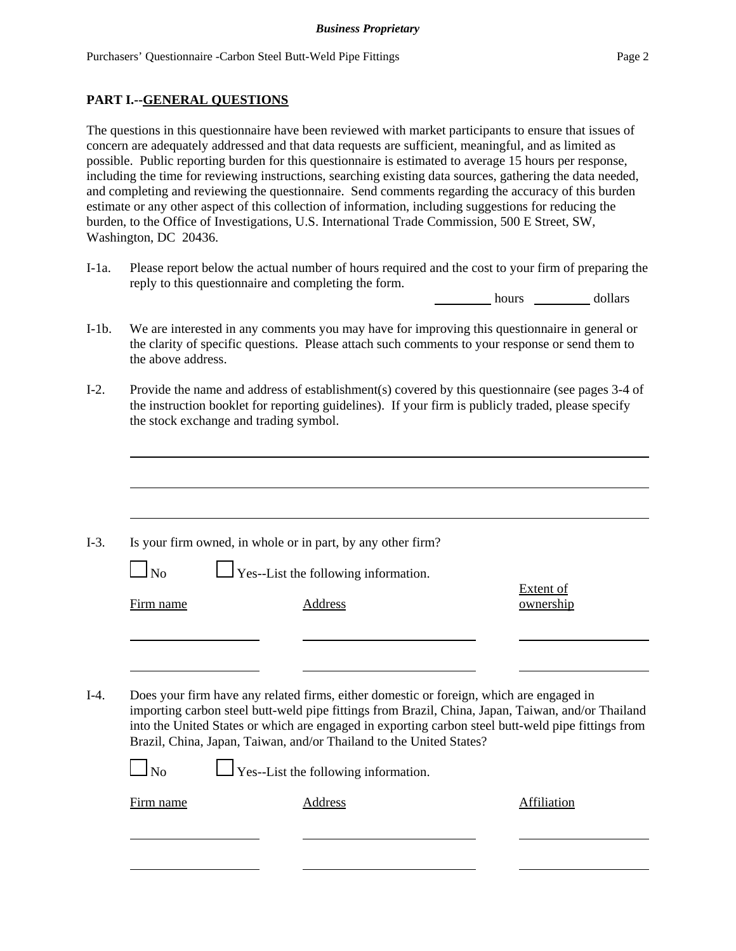### **PART I.--GENERAL QUESTIONS**

The questions in this questionnaire have been reviewed with market participants to ensure that issues of concern are adequately addressed and that data requests are sufficient, meaningful, and as limited as possible. Public reporting burden for this questionnaire is estimated to average 15 hours per response, including the time for reviewing instructions, searching existing data sources, gathering the data needed, and completing and reviewing the questionnaire. Send comments regarding the accuracy of this burden estimate or any other aspect of this collection of information, including suggestions for reducing the burden, to the Office of Investigations, U.S. International Trade Commission, 500 E Street, SW, Washington, DC 20436.

I-1a. Please report below the actual number of hours required and the cost to your firm of preparing the reply to this questionnaire and completing the form.

hours dollars

- I-1b. We are interested in any comments you may have for improving this questionnaire in general or the clarity of specific questions. Please attach such comments to your response or send them to the above address.
- I-2. Provide the name and address of establishment(s) covered by this questionnaire (see pages 3-4 of the instruction booklet for reporting guidelines). If your firm is publicly traded, please specify the stock exchange and trading symbol.

|                | Is your firm owned, in whole or in part, by any other firm?                                                                                                                                  |                               |
|----------------|----------------------------------------------------------------------------------------------------------------------------------------------------------------------------------------------|-------------------------------|
| $\Box$ No      | $\Box$ Yes--List the following information.                                                                                                                                                  |                               |
| Firm name      | Address                                                                                                                                                                                      | <b>Extent of</b><br>ownership |
|                |                                                                                                                                                                                              |                               |
|                |                                                                                                                                                                                              |                               |
|                | Does your firm have any related firms, either domestic or foreign, which are engaged in<br>importing carbon steel butt-weld pipe fittings from Brazil, China, Japan, Taiwan, and/or Thailand |                               |
|                | into the United States or which are engaged in exporting carbon steel butt-weld pipe fittings from<br>Brazil, China, Japan, Taiwan, and/or Thailand to the United States?                    |                               |
| N <sub>o</sub> | $\Box$ Yes--List the following information.                                                                                                                                                  |                               |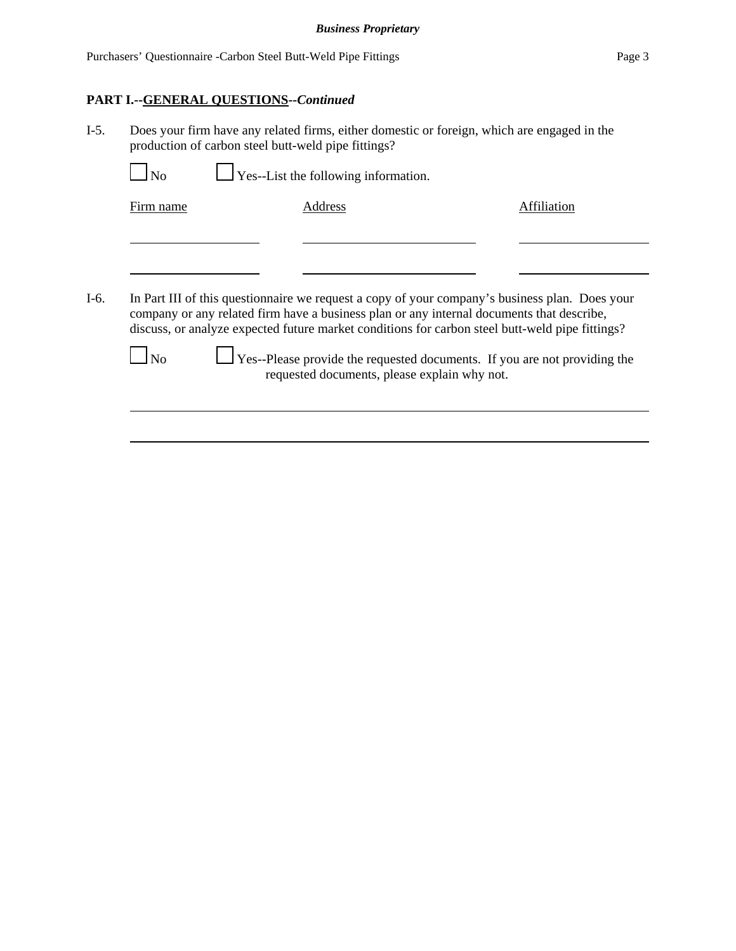### **PART I.--GENERAL QUESTIONS--***Continued*

I-5. Does your firm have any related firms, either domestic or foreign, which are engaged in the production of carbon steel butt-weld pipe fittings?

| $\overline{N_{0}}$ | $\Box$ Yes--List the following information. |             |
|--------------------|---------------------------------------------|-------------|
| Firm name          | Address                                     | Affiliation |
|                    |                                             |             |
|                    |                                             |             |
|                    |                                             |             |
|                    |                                             |             |



 $\Box$  No  $\Box$  Yes--Please provide the requested documents. If you are not providing the requested documents, please explain why not.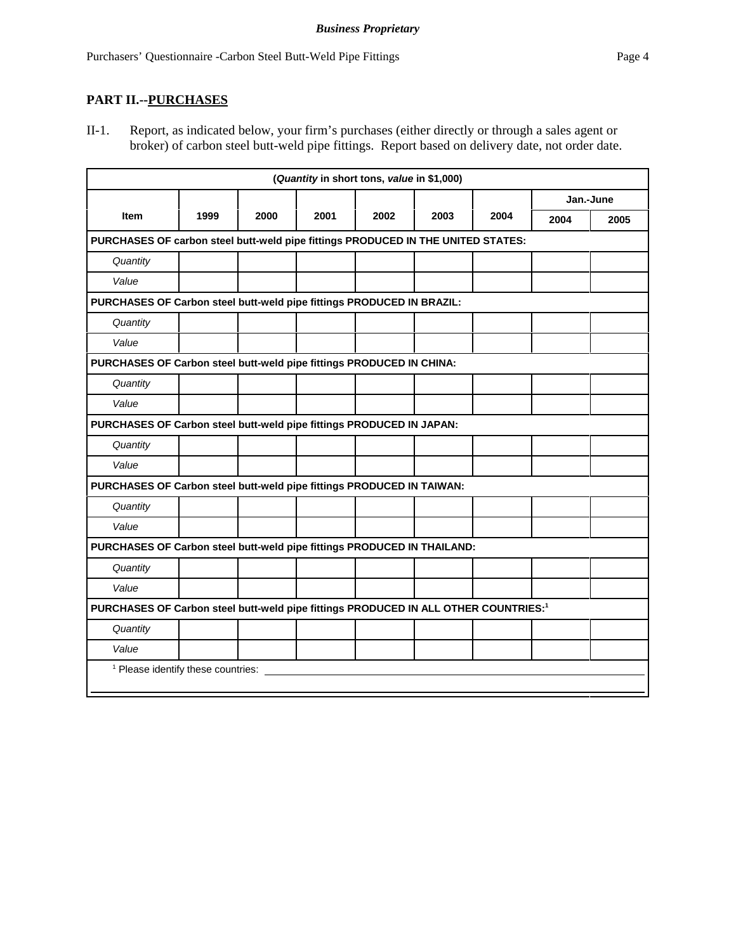## **PART II.--PURCHASES**

II-1. Report, as indicated below, your firm's purchases (either directly or through a sales agent or broker) of carbon steel butt-weld pipe fittings. Report based on delivery date, not order date.

| (Quantity in short tons, value in \$1,000)                                                      |                                               |      |      |      |      |      |           |      |
|-------------------------------------------------------------------------------------------------|-----------------------------------------------|------|------|------|------|------|-----------|------|
|                                                                                                 |                                               |      |      |      |      |      | Jan.-June |      |
| <b>Item</b>                                                                                     | 1999                                          | 2000 | 2001 | 2002 | 2003 | 2004 | 2004      | 2005 |
| PURCHASES OF carbon steel butt-weld pipe fittings PRODUCED IN THE UNITED STATES:                |                                               |      |      |      |      |      |           |      |
| Quantity                                                                                        |                                               |      |      |      |      |      |           |      |
| Value                                                                                           |                                               |      |      |      |      |      |           |      |
| PURCHASES OF Carbon steel butt-weld pipe fittings PRODUCED IN BRAZIL:                           |                                               |      |      |      |      |      |           |      |
| Quantity                                                                                        |                                               |      |      |      |      |      |           |      |
| Value                                                                                           |                                               |      |      |      |      |      |           |      |
| PURCHASES OF Carbon steel butt-weld pipe fittings PRODUCED IN CHINA:                            |                                               |      |      |      |      |      |           |      |
| Quantity                                                                                        |                                               |      |      |      |      |      |           |      |
| Value                                                                                           |                                               |      |      |      |      |      |           |      |
| PURCHASES OF Carbon steel butt-weld pipe fittings PRODUCED IN JAPAN:                            |                                               |      |      |      |      |      |           |      |
| Quantity                                                                                        |                                               |      |      |      |      |      |           |      |
| Value                                                                                           |                                               |      |      |      |      |      |           |      |
| PURCHASES OF Carbon steel butt-weld pipe fittings PRODUCED IN TAIWAN:                           |                                               |      |      |      |      |      |           |      |
| Quantity                                                                                        |                                               |      |      |      |      |      |           |      |
| Value                                                                                           |                                               |      |      |      |      |      |           |      |
| PURCHASES OF Carbon steel butt-weld pipe fittings PRODUCED IN THAILAND:                         |                                               |      |      |      |      |      |           |      |
| Quantity                                                                                        |                                               |      |      |      |      |      |           |      |
| Value                                                                                           |                                               |      |      |      |      |      |           |      |
| PURCHASES OF Carbon steel butt-weld pipe fittings PRODUCED IN ALL OTHER COUNTRIES: <sup>1</sup> |                                               |      |      |      |      |      |           |      |
| Quantity                                                                                        |                                               |      |      |      |      |      |           |      |
| Value                                                                                           |                                               |      |      |      |      |      |           |      |
|                                                                                                 | <sup>1</sup> Please identify these countries: |      |      |      |      |      |           |      |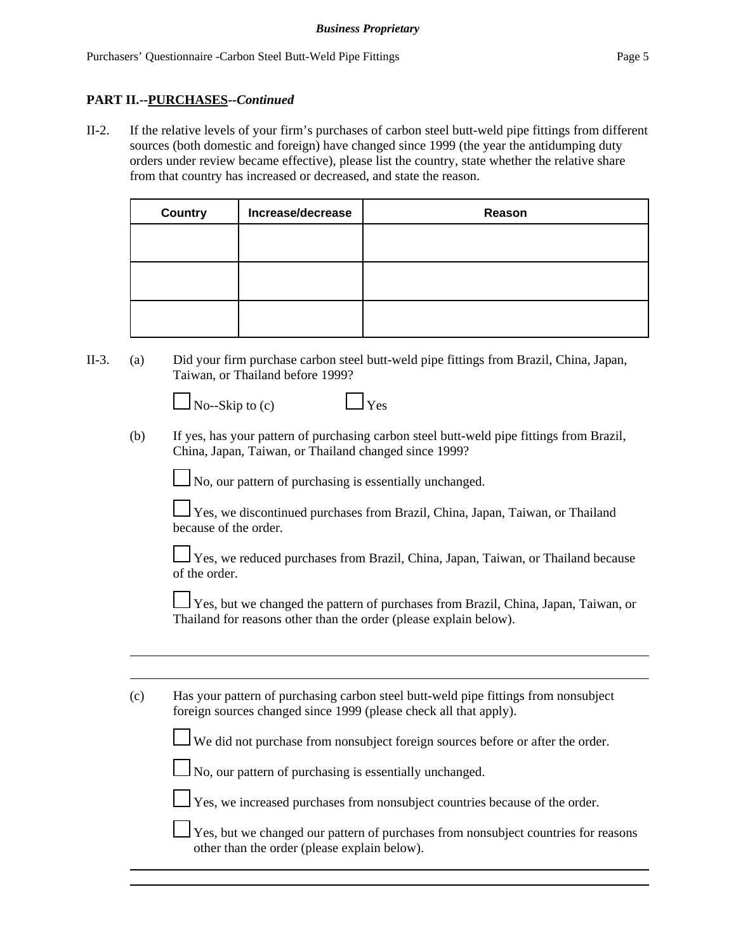## **PART II.--PURCHASES--***Continued*

II-2. If the relative levels of your firm's purchases of carbon steel butt-weld pipe fittings from different sources (both domestic and foreign) have changed since 1999 (the year the antidumping duty orders under review became effective), please list the country, state whether the relative share from that country has increased or decreased, and state the reason.

| <b>Country</b> | Increase/decrease | Reason |
|----------------|-------------------|--------|
|                |                   |        |
|                |                   |        |
|                |                   |        |
|                |                   |        |
|                |                   |        |
|                |                   |        |

II-3. (a) Did your firm purchase carbon steel butt-weld pipe fittings from Brazil, China, Japan, Taiwan, or Thailand before 1999?

| $\Box$ No--Skip to (c) | $\Box$ Yes |
|------------------------|------------|
|                        |            |

|--|

(b) If yes, has your pattern of purchasing carbon steel butt-weld pipe fittings from Brazil, China, Japan, Taiwan, or Thailand changed since 1999?

No, our pattern of purchasing is essentially unchanged.

 Yes, we discontinued purchases from Brazil, China, Japan, Taiwan, or Thailand because of the order.

 Yes, we reduced purchases from Brazil, China, Japan, Taiwan, or Thailand because of the order.

Yes, but we changed the pattern of purchases from Brazil, China, Japan, Taiwan, or Thailand for reasons other than the order (please explain below).

| (c) | Has your pattern of purchasing carbon steel butt-weld pipe fittings from nonsubject |
|-----|-------------------------------------------------------------------------------------|
|     | foreign sources changed since 1999 (please check all that apply).                   |

We did not purchase from nonsubject foreign sources before or after the order.

 $\Box$  No, our pattern of purchasing is essentially unchanged.

Yes, we increased purchases from nonsubject countries because of the order.

 $\perp$  Yes, but we changed our pattern of purchases from nonsubject countries for reasons other than the order (please explain below).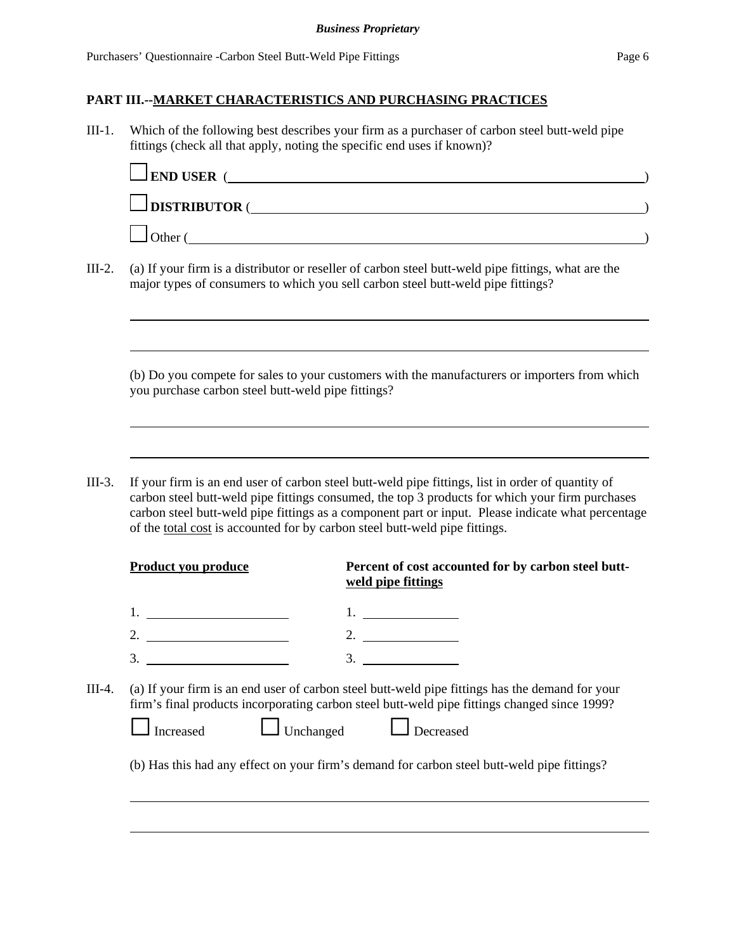III-1. Which of the following best describes your firm as a purchaser of carbon steel butt-weld pipe fittings (check all that apply, noting the specific end uses if known)?

| $\Box$ END USER (   |  |
|---------------------|--|
| $\Box$ DISTRIBUTOR( |  |
| Other               |  |

III-2. (a) If your firm is a distributor or reseller of carbon steel butt-weld pipe fittings, what are the major types of consumers to which you sell carbon steel butt-weld pipe fittings?

(b) Do you compete for sales to your customers with the manufacturers or importers from which you purchase carbon steel butt-weld pipe fittings?

III-3. If your firm is an end user of carbon steel butt-weld pipe fittings, list in order of quantity of carbon steel butt-weld pipe fittings consumed, the top 3 products for which your firm purchases carbon steel butt-weld pipe fittings as a component part or input. Please indicate what percentage of the total cost is accounted for by carbon steel butt-weld pipe fittings.

|        | <b>Product you produce</b>    | Percent of cost accounted for by carbon steel butt-<br>weld pipe fittings                                                                                                                                           |
|--------|-------------------------------|---------------------------------------------------------------------------------------------------------------------------------------------------------------------------------------------------------------------|
|        |                               |                                                                                                                                                                                                                     |
|        | 2. $\qquad \qquad$            | 2. $\qquad \qquad$                                                                                                                                                                                                  |
|        | 3.                            | 3.                                                                                                                                                                                                                  |
| III-4. | $\Box$ Unchanged<br>Increased | (a) If your firm is an end user of carbon steel butt-weld pipe fittings has the demand for your<br>firm's final products incorporating carbon steel butt-weld pipe fittings changed since 1999?<br>$\Box$ Decreased |
|        |                               | (b) Has this had any effect on your firm's demand for carbon steel butt-weld pipe fittings?                                                                                                                         |
|        |                               |                                                                                                                                                                                                                     |
|        |                               |                                                                                                                                                                                                                     |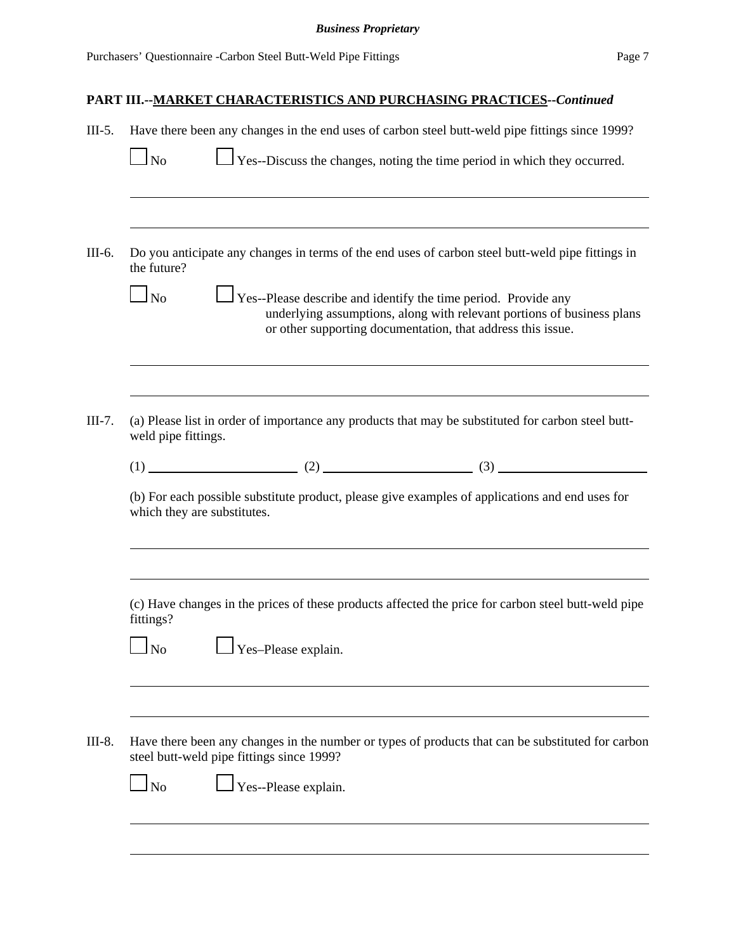| $III-5.$ | Have there been any changes in the end uses of carbon steel butt-weld pipe fittings since 1999?                                                                                                                                   |  |  |  |  |
|----------|-----------------------------------------------------------------------------------------------------------------------------------------------------------------------------------------------------------------------------------|--|--|--|--|
|          | $\Box$ Yes--Discuss the changes, noting the time period in which they occurred.<br>$\ln$                                                                                                                                          |  |  |  |  |
| III-6.   | Do you anticipate any changes in terms of the end uses of carbon steel butt-weld pipe fittings in<br>the future?                                                                                                                  |  |  |  |  |
|          | $\perp$ Yes--Please describe and identify the time period. Provide any<br>N <sub>o</sub><br>underlying assumptions, along with relevant portions of business plans<br>or other supporting documentation, that address this issue. |  |  |  |  |
| $III-7.$ | (a) Please list in order of importance any products that may be substituted for carbon steel butt-<br>weld pipe fittings.                                                                                                         |  |  |  |  |
|          | $(1)$ (1) (2) (2) (3)                                                                                                                                                                                                             |  |  |  |  |
|          | (b) For each possible substitute product, please give examples of applications and end uses for<br>which they are substitutes.                                                                                                    |  |  |  |  |
|          | (c) Have changes in the prices of these products affected the price for carbon steel butt-weld pipe<br>fittings?                                                                                                                  |  |  |  |  |
|          | $\Box$ Yes-Please explain.<br><b>No</b>                                                                                                                                                                                           |  |  |  |  |
| III-8.   | Have there been any changes in the number or types of products that can be substituted for carbon<br>steel butt-weld pipe fittings since 1999?<br>Yes--Please explain.<br>$\ln$                                                   |  |  |  |  |
|          |                                                                                                                                                                                                                                   |  |  |  |  |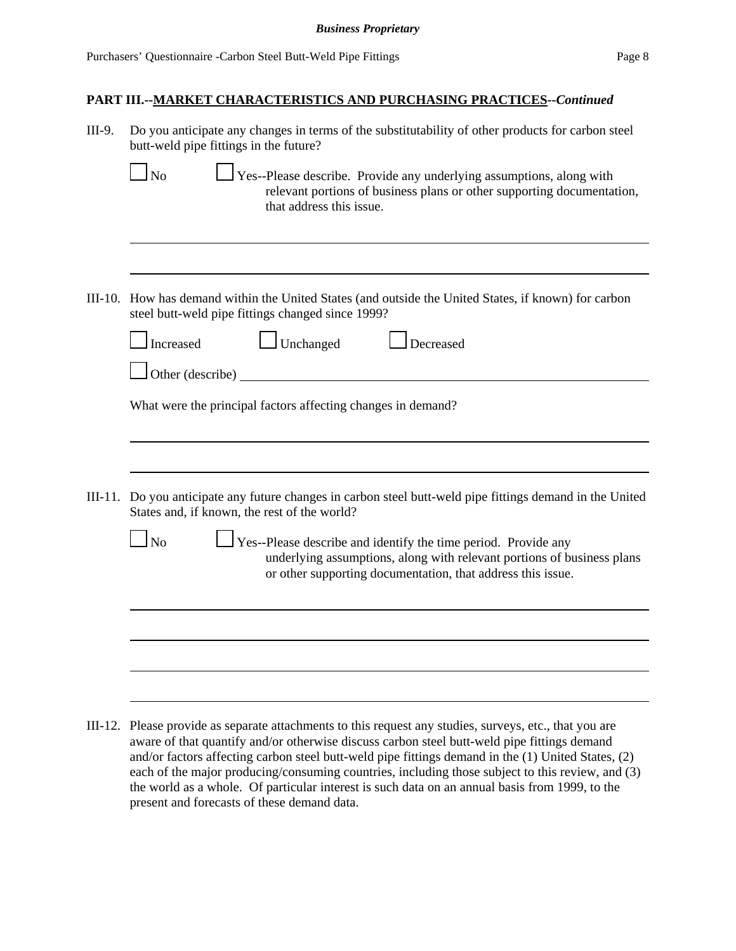| III-9.    | Do you anticipate any changes in terms of the substitutability of other products for carbon steel<br>butt-weld pipe fittings in the future?                                                                                       |
|-----------|-----------------------------------------------------------------------------------------------------------------------------------------------------------------------------------------------------------------------------------|
|           | $\Box$ Yes--Please describe. Provide any underlying assumptions, along with<br>N <sub>0</sub><br>relevant portions of business plans or other supporting documentation,<br>that address this issue.                               |
|           |                                                                                                                                                                                                                                   |
|           | III-10. How has demand within the United States (and outside the United States, if known) for carbon<br>steel butt-weld pipe fittings changed since 1999?                                                                         |
|           | $\perp$ Unchanged<br>Increased<br>Decreased                                                                                                                                                                                       |
|           | Other (describe)                                                                                                                                                                                                                  |
|           | What were the principal factors affecting changes in demand?                                                                                                                                                                      |
|           |                                                                                                                                                                                                                                   |
|           |                                                                                                                                                                                                                                   |
|           | III-11. Do you anticipate any future changes in carbon steel butt-weld pipe fittings demand in the United<br>States and, if known, the rest of the world?                                                                         |
|           | $\mathbf{N}_0$<br>$\perp$ Yes--Please describe and identify the time period. Provide any<br>underlying assumptions, along with relevant portions of business plans<br>or other supporting documentation, that address this issue. |
|           |                                                                                                                                                                                                                                   |
|           |                                                                                                                                                                                                                                   |
|           |                                                                                                                                                                                                                                   |
| $III-12.$ | Please provide as separate attachments to this request any studies, surveys, etc., that you are<br>aware of that quantify and/or otherwise discuss carbon steel butt-weld pipe fittings demand                                    |

and/or factors affecting carbon steel butt-weld pipe fittings demand in the (1) United States, (2) each of the major producing/consuming countries, including those subject to this review, and (3) the world as a whole. Of particular interest is such data on an annual basis from 1999, to the present and forecasts of these demand data.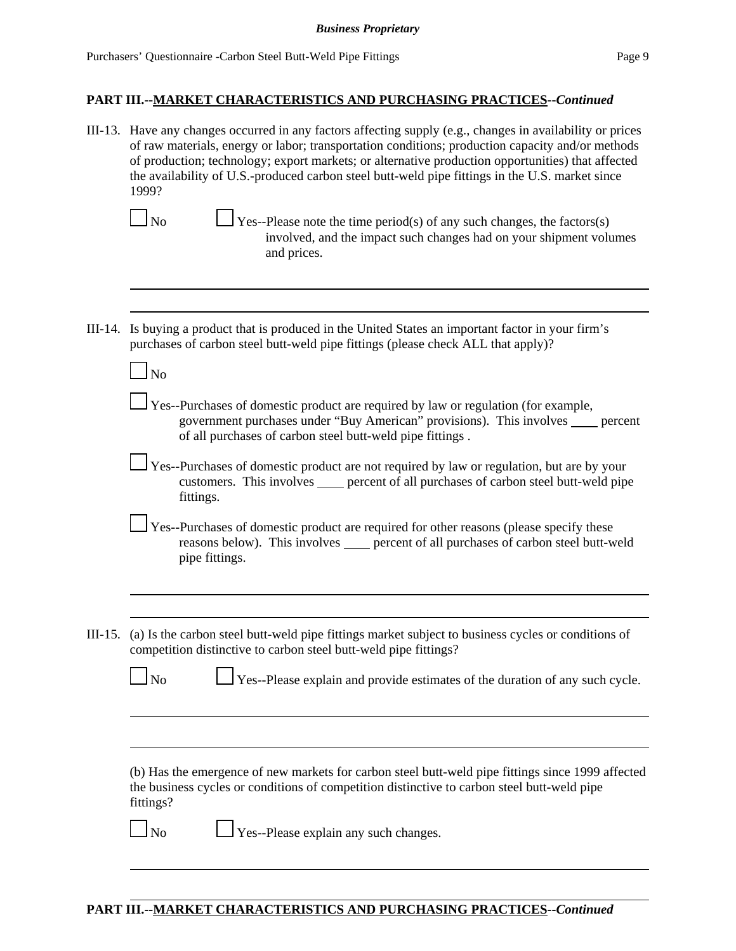| III-13. Have any changes occurred in any factors affecting supply (e.g., changes in availability or prices<br>of raw materials, energy or labor; transportation conditions; production capacity and/or methods<br>of production; technology; export markets; or alternative production opportunities) that affected<br>the availability of U.S.-produced carbon steel butt-weld pipe fittings in the U.S. market since<br>1999?<br>$\Box$ Yes--Please note the time period(s) of any such changes, the factors(s)<br>$\ln$<br>involved, and the impact such changes had on your shipment volumes<br>and prices. |
|-----------------------------------------------------------------------------------------------------------------------------------------------------------------------------------------------------------------------------------------------------------------------------------------------------------------------------------------------------------------------------------------------------------------------------------------------------------------------------------------------------------------------------------------------------------------------------------------------------------------|
|                                                                                                                                                                                                                                                                                                                                                                                                                                                                                                                                                                                                                 |
| III-14. Is buying a product that is produced in the United States an important factor in your firm's<br>purchases of carbon steel butt-weld pipe fittings (please check ALL that apply)?                                                                                                                                                                                                                                                                                                                                                                                                                        |
| $\Box$ No                                                                                                                                                                                                                                                                                                                                                                                                                                                                                                                                                                                                       |
| $\Box$ Yes--Purchases of domestic product are required by law or regulation (for example,<br>government purchases under "Buy American" provisions). This involves _____ percent<br>of all purchases of carbon steel butt-weld pipe fittings.                                                                                                                                                                                                                                                                                                                                                                    |
| Yes--Purchases of domestic product are not required by law or regulation, but are by your<br>customers. This involves _____ percent of all purchases of carbon steel butt-weld pipe<br>fittings.                                                                                                                                                                                                                                                                                                                                                                                                                |
| Yes--Purchases of domestic product are required for other reasons (please specify these<br>reasons below). This involves _____ percent of all purchases of carbon steel butt-weld<br>pipe fittings.                                                                                                                                                                                                                                                                                                                                                                                                             |
|                                                                                                                                                                                                                                                                                                                                                                                                                                                                                                                                                                                                                 |
| III-15. (a) Is the carbon steel butt-weld pipe fittings market subject to business cycles or conditions of<br>competition distinctive to carbon steel butt-weld pipe fittings?                                                                                                                                                                                                                                                                                                                                                                                                                                  |
| $\overline{\phantom{a}}$ No<br>Yes--Please explain and provide estimates of the duration of any such cycle.                                                                                                                                                                                                                                                                                                                                                                                                                                                                                                     |
|                                                                                                                                                                                                                                                                                                                                                                                                                                                                                                                                                                                                                 |
| (b) Has the emergence of new markets for carbon steel butt-weld pipe fittings since 1999 affected<br>the business cycles or conditions of competition distinctive to carbon steel butt-weld pipe<br>fittings?                                                                                                                                                                                                                                                                                                                                                                                                   |
| $\perp$ Yes--Please explain any such changes.<br>$\overline{\phantom{a}}$ No                                                                                                                                                                                                                                                                                                                                                                                                                                                                                                                                    |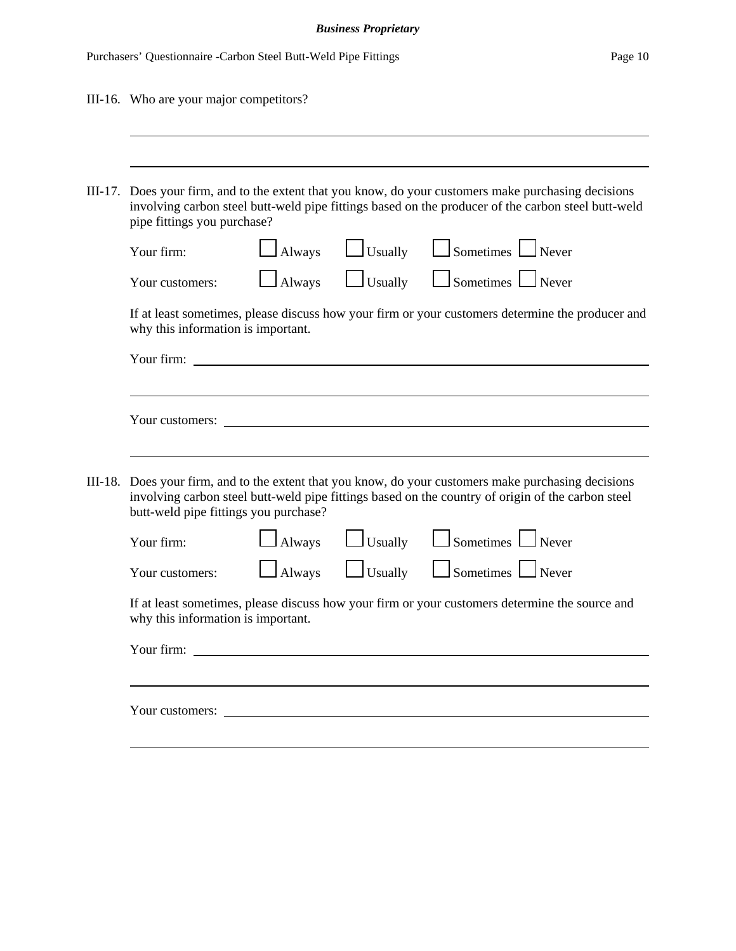### *Business Proprietary*

| III-16. Who are your major competitors?                                                                                                                                                                                                            |  |  |  |  |  |  |
|----------------------------------------------------------------------------------------------------------------------------------------------------------------------------------------------------------------------------------------------------|--|--|--|--|--|--|
|                                                                                                                                                                                                                                                    |  |  |  |  |  |  |
| III-17. Does your firm, and to the extent that you know, do your customers make purchasing decisions<br>involving carbon steel butt-weld pipe fittings based on the producer of the carbon steel butt-weld<br>pipe fittings you purchase?          |  |  |  |  |  |  |
| $\Box$ Usually $\Box$ Sometimes $\Box$ Never<br>$\Box$ Always<br>Your firm:                                                                                                                                                                        |  |  |  |  |  |  |
| Usually Sometimes Never<br>$\Delta$ lways<br>Your customers:                                                                                                                                                                                       |  |  |  |  |  |  |
| If at least sometimes, please discuss how your firm or your customers determine the producer and<br>why this information is important.                                                                                                             |  |  |  |  |  |  |
|                                                                                                                                                                                                                                                    |  |  |  |  |  |  |
|                                                                                                                                                                                                                                                    |  |  |  |  |  |  |
| Your customers:                                                                                                                                                                                                                                    |  |  |  |  |  |  |
|                                                                                                                                                                                                                                                    |  |  |  |  |  |  |
| III-18. Does your firm, and to the extent that you know, do your customers make purchasing decisions<br>involving carbon steel butt-weld pipe fittings based on the country of origin of the carbon steel<br>butt-weld pipe fittings you purchase? |  |  |  |  |  |  |
| $\Box$ Sometimes $\Box$ Never<br>$\Box$ Usually<br>Always<br>Your firm:                                                                                                                                                                            |  |  |  |  |  |  |
| $\Box$ Usually $\Box$ Sometimes $\Box$ Never<br>$\Box$ Always<br>Your customers:                                                                                                                                                                   |  |  |  |  |  |  |
| If at least sometimes, please discuss how your firm or your customers determine the source and<br>why this information is important.                                                                                                               |  |  |  |  |  |  |
| Your firm:<br><u> 1980 - Jan Stein Stein Stein Stein Stein Stein Stein Stein Stein Stein Stein Stein Stein Stein Stein Stein S</u>                                                                                                                 |  |  |  |  |  |  |
|                                                                                                                                                                                                                                                    |  |  |  |  |  |  |
| Your customers:                                                                                                                                                                                                                                    |  |  |  |  |  |  |
|                                                                                                                                                                                                                                                    |  |  |  |  |  |  |
|                                                                                                                                                                                                                                                    |  |  |  |  |  |  |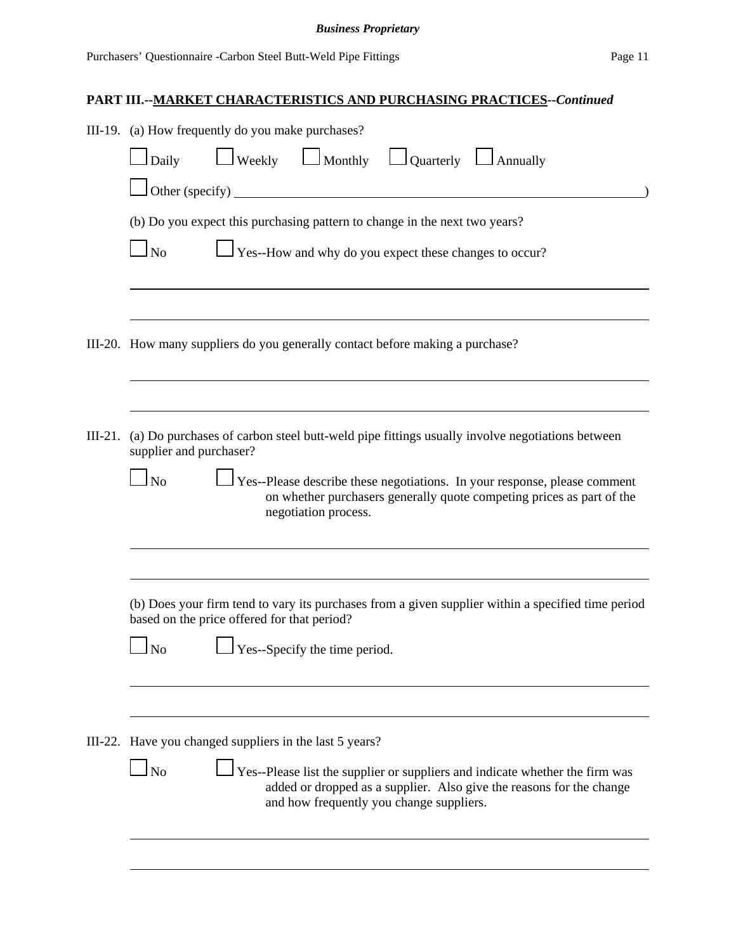|           | III-19. (a) How frequently do you make purchases?                                                                                                                                                              |  |  |  |  |  |  |  |  |
|-----------|----------------------------------------------------------------------------------------------------------------------------------------------------------------------------------------------------------------|--|--|--|--|--|--|--|--|
|           | $\Box$ Weekly $\Box$ Monthly $\Box$ Quarterly $\Box$ Annually<br>$\log$ Daily                                                                                                                                  |  |  |  |  |  |  |  |  |
|           | Other (specify) $\qquad \qquad$                                                                                                                                                                                |  |  |  |  |  |  |  |  |
|           | (b) Do you expect this purchasing pattern to change in the next two years?                                                                                                                                     |  |  |  |  |  |  |  |  |
|           | $\sqrt{\frac{1}{1}}$ Yes--How and why do you expect these changes to occur?<br>$\ln$                                                                                                                           |  |  |  |  |  |  |  |  |
|           |                                                                                                                                                                                                                |  |  |  |  |  |  |  |  |
|           |                                                                                                                                                                                                                |  |  |  |  |  |  |  |  |
|           | III-20. How many suppliers do you generally contact before making a purchase?                                                                                                                                  |  |  |  |  |  |  |  |  |
|           |                                                                                                                                                                                                                |  |  |  |  |  |  |  |  |
| $III-21.$ | (a) Do purchases of carbon steel butt-weld pipe fittings usually involve negotiations between<br>supplier and purchaser?                                                                                       |  |  |  |  |  |  |  |  |
|           | Yes--Please describe these negotiations. In your response, please comment<br>$\Box$ No                                                                                                                         |  |  |  |  |  |  |  |  |
|           | on whether purchasers generally quote competing prices as part of the<br>negotiation process.                                                                                                                  |  |  |  |  |  |  |  |  |
|           |                                                                                                                                                                                                                |  |  |  |  |  |  |  |  |
|           | (b) Does your firm tend to vary its purchases from a given supplier within a specified time period<br>based on the price offered for that period?                                                              |  |  |  |  |  |  |  |  |
|           | $\Box$ Yes--Specify the time period.<br>N <sub>o</sub>                                                                                                                                                         |  |  |  |  |  |  |  |  |
|           |                                                                                                                                                                                                                |  |  |  |  |  |  |  |  |
|           |                                                                                                                                                                                                                |  |  |  |  |  |  |  |  |
|           | III-22. Have you changed suppliers in the last 5 years?                                                                                                                                                        |  |  |  |  |  |  |  |  |
|           | $\rm 1$ No<br>Yes--Please list the supplier or suppliers and indicate whether the firm was<br>added or dropped as a supplier. Also give the reasons for the change<br>and how frequently you change suppliers. |  |  |  |  |  |  |  |  |
|           |                                                                                                                                                                                                                |  |  |  |  |  |  |  |  |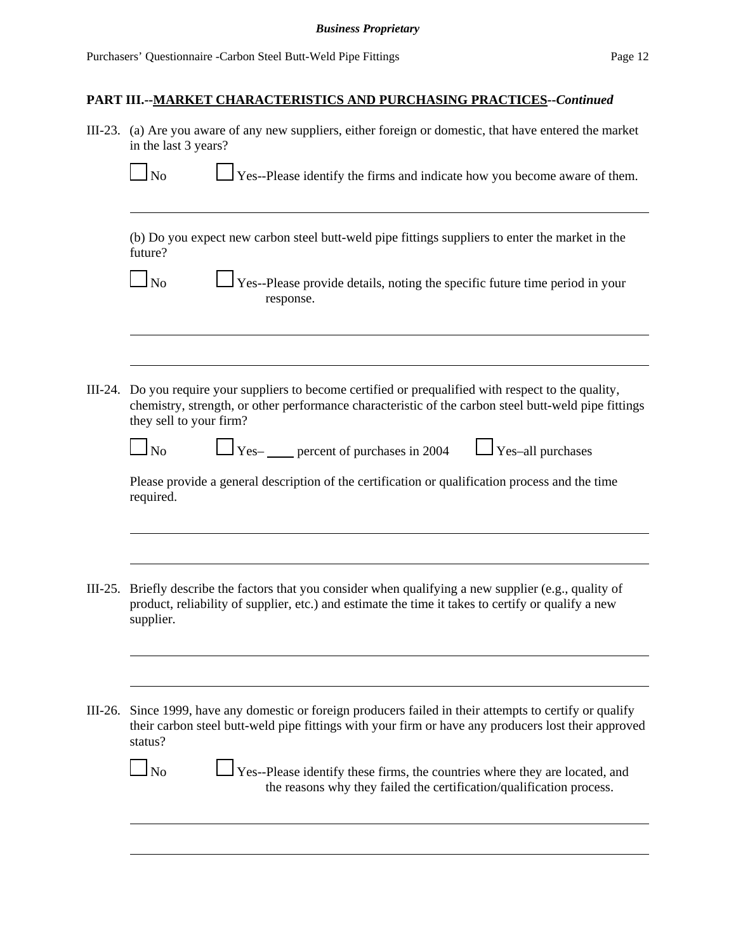| III-23. (a) Are you aware of any new suppliers, either foreign or domestic, that have entered the market<br>in the last 3 years?                                                                                                          |  |  |  |  |  |  |  |
|-------------------------------------------------------------------------------------------------------------------------------------------------------------------------------------------------------------------------------------------|--|--|--|--|--|--|--|
| $\Box$ Yes--Please identify the firms and indicate how you become aware of them.<br>$\Box$ No                                                                                                                                             |  |  |  |  |  |  |  |
| (b) Do you expect new carbon steel butt-weld pipe fittings suppliers to enter the market in the<br>future?                                                                                                                                |  |  |  |  |  |  |  |
| Yes--Please provide details, noting the specific future time period in your<br>$\ln$<br>response.                                                                                                                                         |  |  |  |  |  |  |  |
|                                                                                                                                                                                                                                           |  |  |  |  |  |  |  |
| III-24. Do you require your suppliers to become certified or prequalified with respect to the quality,<br>chemistry, strength, or other performance characteristic of the carbon steel butt-weld pipe fittings<br>they sell to your firm? |  |  |  |  |  |  |  |
| $\Box$ Yes- $\Box$ percent of purchases in 2004<br>$\log$<br>$\Box$ Yes-all purchases                                                                                                                                                     |  |  |  |  |  |  |  |
| Please provide a general description of the certification or qualification process and the time<br>required.                                                                                                                              |  |  |  |  |  |  |  |
|                                                                                                                                                                                                                                           |  |  |  |  |  |  |  |
| III-25. Briefly describe the factors that you consider when qualifying a new supplier (e.g., quality of<br>product, reliability of supplier, etc.) and estimate the time it takes to certify or qualify a new<br>supplier.                |  |  |  |  |  |  |  |
|                                                                                                                                                                                                                                           |  |  |  |  |  |  |  |
| III-26. Since 1999, have any domestic or foreign producers failed in their attempts to certify or qualify<br>their carbon steel butt-weld pipe fittings with your firm or have any producers lost their approved<br>status?               |  |  |  |  |  |  |  |
| $\Box$ No<br>$\Box$ Yes--Please identify these firms, the countries where they are located, and<br>the reasons why they failed the certification/qualification process.                                                                   |  |  |  |  |  |  |  |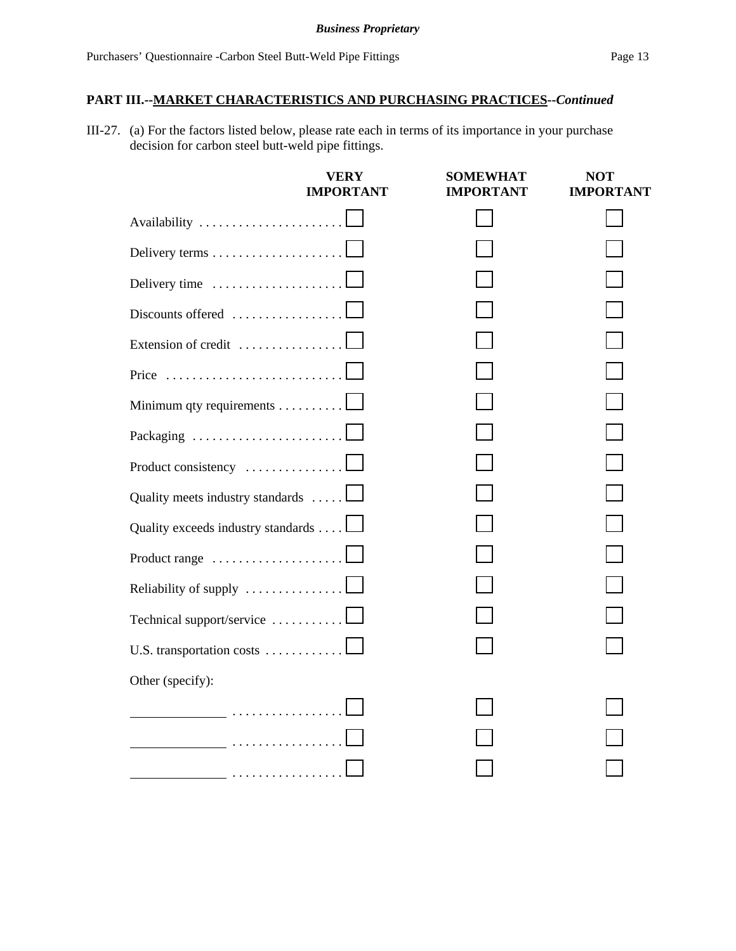III-27. (a) For the factors listed below, please rate each in terms of its importance in your purchase decision for carbon steel butt-weld pipe fittings.

|                                    | <b>VERY</b><br><b>IMPORTANT</b> | <b>SOMEWHAT</b><br><b>IMPORTANT</b> | <b>NOT</b><br><b>IMPORTANT</b> |
|------------------------------------|---------------------------------|-------------------------------------|--------------------------------|
|                                    |                                 |                                     |                                |
|                                    |                                 |                                     |                                |
| Delivery time                      |                                 |                                     |                                |
| Discounts offered $\ldots$         |                                 |                                     |                                |
| Extension of credit                |                                 |                                     |                                |
| Price                              |                                 |                                     |                                |
| Minimum qty requirements           |                                 |                                     |                                |
|                                    |                                 |                                     |                                |
| Product consistency                |                                 |                                     |                                |
| Quality meets industry standards   |                                 |                                     |                                |
| Quality exceeds industry standards |                                 |                                     |                                |
| Product range                      |                                 |                                     |                                |
| Reliability of supply              |                                 |                                     |                                |
| Technical support/service          |                                 |                                     |                                |
| U.S. transportation costs          |                                 |                                     |                                |
| Other (specify):                   |                                 |                                     |                                |
|                                    |                                 |                                     |                                |
|                                    |                                 |                                     |                                |
|                                    |                                 |                                     |                                |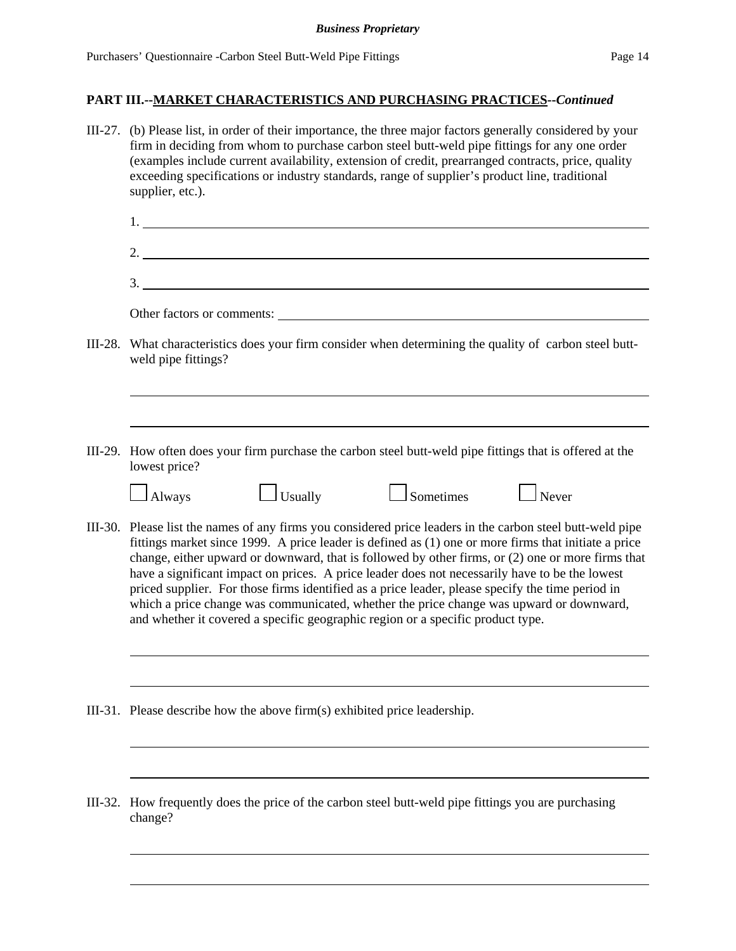#### *Business Proprietary*

## **PART III.--MARKET CHARACTERISTICS AND PURCHASING PRACTICES--***Continued*

|         | III-27. (b) Please list, in order of their importance, the three major factors generally considered by your<br>firm in deciding from whom to purchase carbon steel butt-weld pipe fittings for any one order<br>(examples include current availability, extension of credit, prearranged contracts, price, quality<br>exceeding specifications or industry standards, range of supplier's product line, traditional<br>supplier, etc.).                                                                                                                                                                                                                                                                     |  |  |  |  |  |  |  |
|---------|-------------------------------------------------------------------------------------------------------------------------------------------------------------------------------------------------------------------------------------------------------------------------------------------------------------------------------------------------------------------------------------------------------------------------------------------------------------------------------------------------------------------------------------------------------------------------------------------------------------------------------------------------------------------------------------------------------------|--|--|--|--|--|--|--|
|         |                                                                                                                                                                                                                                                                                                                                                                                                                                                                                                                                                                                                                                                                                                             |  |  |  |  |  |  |  |
|         |                                                                                                                                                                                                                                                                                                                                                                                                                                                                                                                                                                                                                                                                                                             |  |  |  |  |  |  |  |
|         | 3.                                                                                                                                                                                                                                                                                                                                                                                                                                                                                                                                                                                                                                                                                                          |  |  |  |  |  |  |  |
|         | Other factors or comments:                                                                                                                                                                                                                                                                                                                                                                                                                                                                                                                                                                                                                                                                                  |  |  |  |  |  |  |  |
| III-28. | What characteristics does your firm consider when determining the quality of carbon steel butt-<br>weld pipe fittings?                                                                                                                                                                                                                                                                                                                                                                                                                                                                                                                                                                                      |  |  |  |  |  |  |  |
|         |                                                                                                                                                                                                                                                                                                                                                                                                                                                                                                                                                                                                                                                                                                             |  |  |  |  |  |  |  |
|         | III-29. How often does your firm purchase the carbon steel butt-weld pipe fittings that is offered at the<br>lowest price?                                                                                                                                                                                                                                                                                                                                                                                                                                                                                                                                                                                  |  |  |  |  |  |  |  |
|         | $\Box$ Sometimes<br>$\Box$ Never<br>$\Box$ Always<br>$\Box$ Usually                                                                                                                                                                                                                                                                                                                                                                                                                                                                                                                                                                                                                                         |  |  |  |  |  |  |  |
|         | III-30. Please list the names of any firms you considered price leaders in the carbon steel butt-weld pipe<br>fittings market since 1999. A price leader is defined as (1) one or more firms that initiate a price<br>change, either upward or downward, that is followed by other firms, or (2) one or more firms that<br>have a significant impact on prices. A price leader does not necessarily have to be the lowest<br>priced supplier. For those firms identified as a price leader, please specify the time period in<br>which a price change was communicated, whether the price change was upward or downward,<br>and whether it covered a specific geographic region or a specific product type. |  |  |  |  |  |  |  |
|         |                                                                                                                                                                                                                                                                                                                                                                                                                                                                                                                                                                                                                                                                                                             |  |  |  |  |  |  |  |
|         | III-31. Please describe how the above firm(s) exhibited price leadership.                                                                                                                                                                                                                                                                                                                                                                                                                                                                                                                                                                                                                                   |  |  |  |  |  |  |  |
|         |                                                                                                                                                                                                                                                                                                                                                                                                                                                                                                                                                                                                                                                                                                             |  |  |  |  |  |  |  |
| III-32. | How frequently does the price of the carbon steel butt-weld pipe fittings you are purchasing<br>change?                                                                                                                                                                                                                                                                                                                                                                                                                                                                                                                                                                                                     |  |  |  |  |  |  |  |
|         |                                                                                                                                                                                                                                                                                                                                                                                                                                                                                                                                                                                                                                                                                                             |  |  |  |  |  |  |  |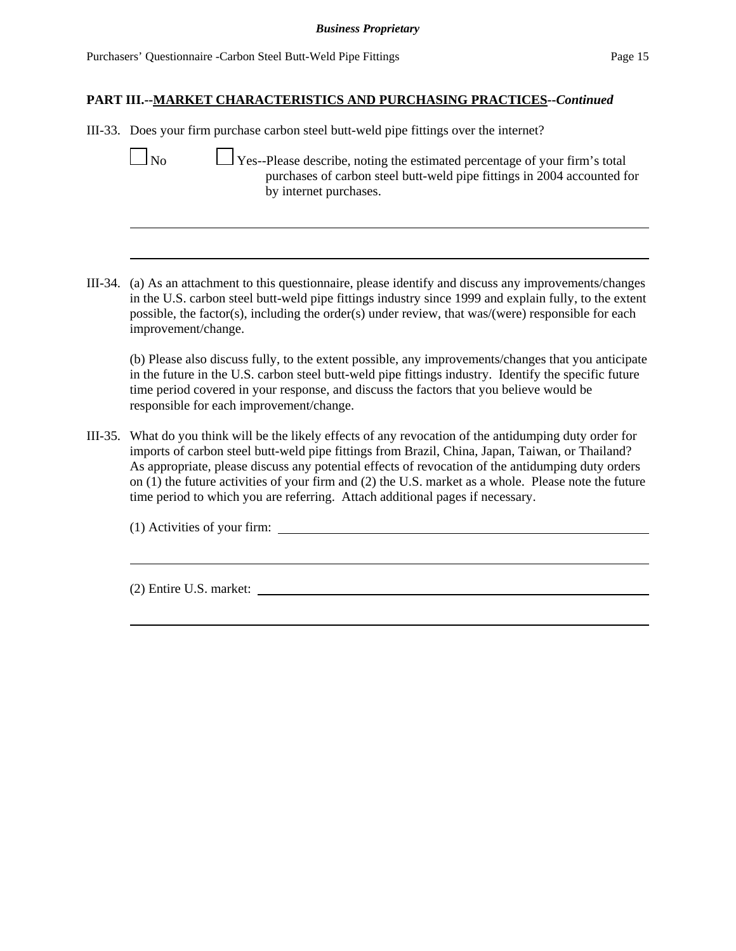III-33. Does your firm purchase carbon steel butt-weld pipe fittings over the internet?

No  $\Box$  Yes--Please describe, noting the estimated percentage of your firm's total purchases of carbon steel butt-weld pipe fittings in 2004 accounted for by internet purchases.

III-34. (a) As an attachment to this questionnaire, please identify and discuss any improvements/changes in the U.S. carbon steel butt-weld pipe fittings industry since 1999 and explain fully, to the extent possible, the factor(s), including the order(s) under review, that was/(were) responsible for each improvement/change.

(b) Please also discuss fully, to the extent possible, any improvements/changes that you anticipate in the future in the U.S. carbon steel butt-weld pipe fittings industry. Identify the specific future time period covered in your response, and discuss the factors that you believe would be responsible for each improvement/change.

III-35. What do you think will be the likely effects of any revocation of the antidumping duty order for imports of carbon steel butt-weld pipe fittings from Brazil, China, Japan, Taiwan, or Thailand? As appropriate, please discuss any potential effects of revocation of the antidumping duty orders on (1) the future activities of your firm and (2) the U.S. market as a whole. Please note the future time period to which you are referring. Attach additional pages if necessary.

(1) Activities of your firm:

(2) Entire U.S. market: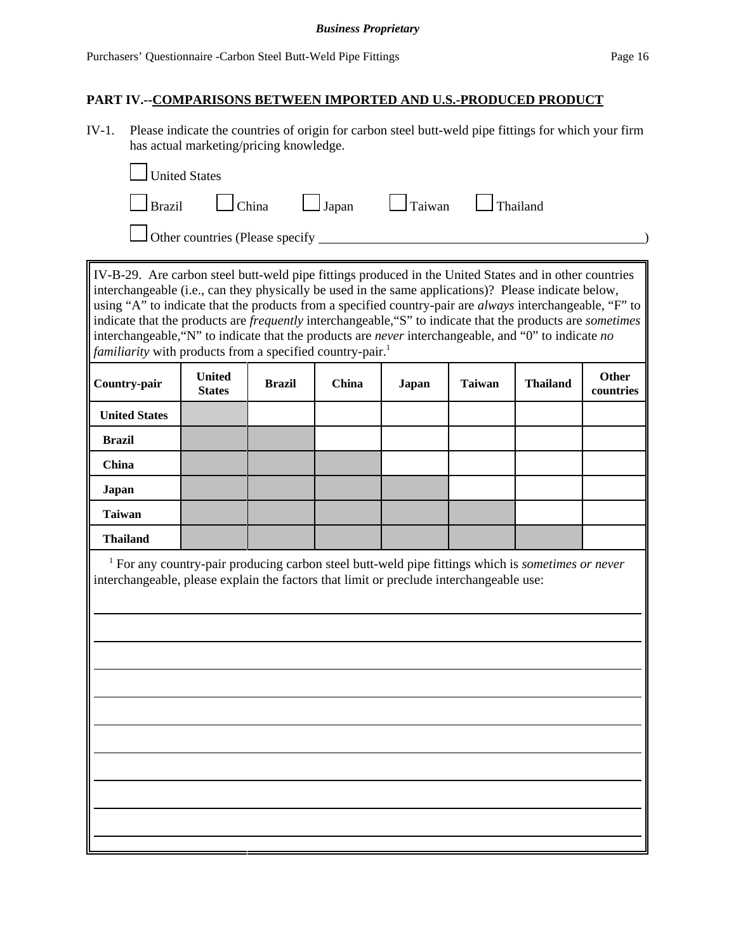#### *Business Proprietary*

### **PART IV.--COMPARISONS BETWEEN IMPORTED AND U.S.-PRODUCED PRODUCT**

IV-1. Please indicate the countries of origin for carbon steel butt-weld pipe fittings for which your firm has actual marketing/pricing knowledge.

| United States |                                 |                                                                       |  |
|---------------|---------------------------------|-----------------------------------------------------------------------|--|
|               |                                 | $\Box$ Brazil $\Box$ China $\Box$ Japan $\Box$ Taiwan $\Box$ Thailand |  |
|               | Other countries (Please specify |                                                                       |  |

IV-B-29. Are carbon steel butt-weld pipe fittings produced in the United States and in other countries interchangeable (i.e., can they physically be used in the same applications)? Please indicate below, using "A" to indicate that the products from a specified country-pair are *always* interchangeable, "F" to indicate that the products are *frequently* interchangeable,"S" to indicate that the products are *sometimes* interchangeable,"N" to indicate that the products are *never* interchangeable, and "0" to indicate *no familiarity* with products from a specified country-pair.<sup>1</sup>

| Country-pair         | <b>United</b><br><b>States</b> | <b>Brazil</b> | China | Japan | <b>Taiwan</b> | <b>Thailand</b> | Other<br>countries |
|----------------------|--------------------------------|---------------|-------|-------|---------------|-----------------|--------------------|
| <b>United States</b> |                                |               |       |       |               |                 |                    |
| <b>Brazil</b>        |                                |               |       |       |               |                 |                    |
| China                |                                |               |       |       |               |                 |                    |
| Japan                |                                |               |       |       |               |                 |                    |
| <b>Taiwan</b>        |                                |               |       |       |               |                 |                    |
| <b>Thailand</b>      |                                |               |       |       |               |                 |                    |

<sup>1</sup> For any country-pair producing carbon steel butt-weld pipe fittings which is *sometimes or never* interchangeable, please explain the factors that limit or preclude interchangeable use: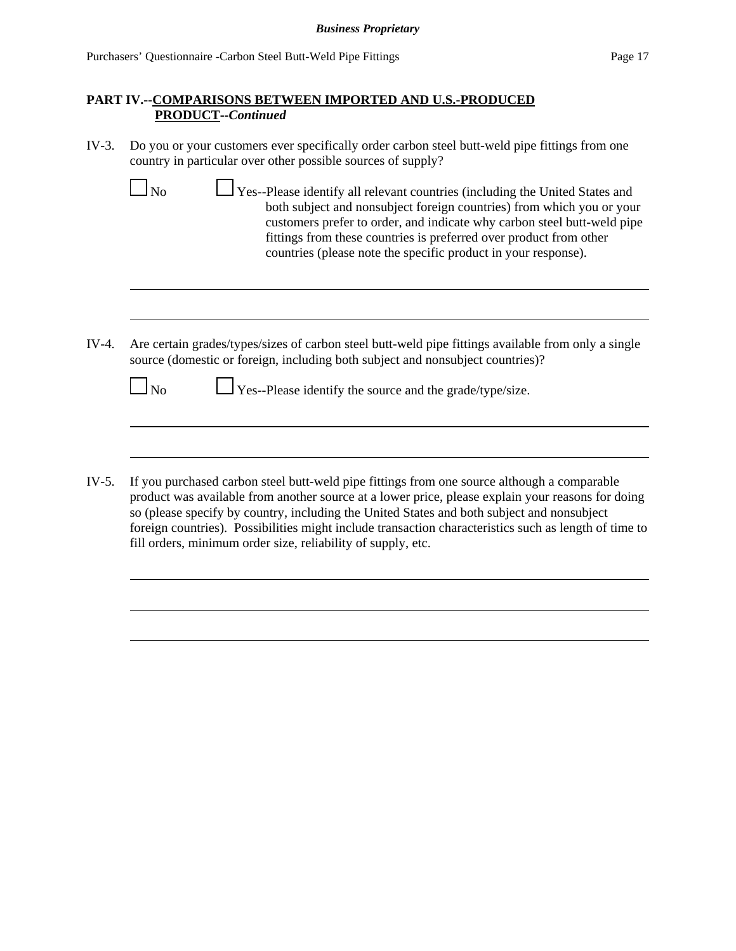- IV-3. Do you or your customers ever specifically order carbon steel butt-weld pipe fittings from one country in particular over other possible sources of supply?
	- $\Box$  No  $\Box$  Yes--Please identify all relevant countries (including the United States and both subject and nonsubject foreign countries) from which you or your customers prefer to order, and indicate why carbon steel butt-weld pipe fittings from these countries is preferred over product from other countries (please note the specific product in your response).
- IV-4. Are certain grades/types/sizes of carbon steel butt-weld pipe fittings available from only a single source (domestic or foreign, including both subject and nonsubject countries)?

 $\Box$  No  $\Box$  Yes--Please identify the source and the grade/type/size.

IV-5. If you purchased carbon steel butt-weld pipe fittings from one source although a comparable product was available from another source at a lower price, please explain your reasons for doing so (please specify by country, including the United States and both subject and nonsubject foreign countries). Possibilities might include transaction characteristics such as length of time to fill orders, minimum order size, reliability of supply, etc.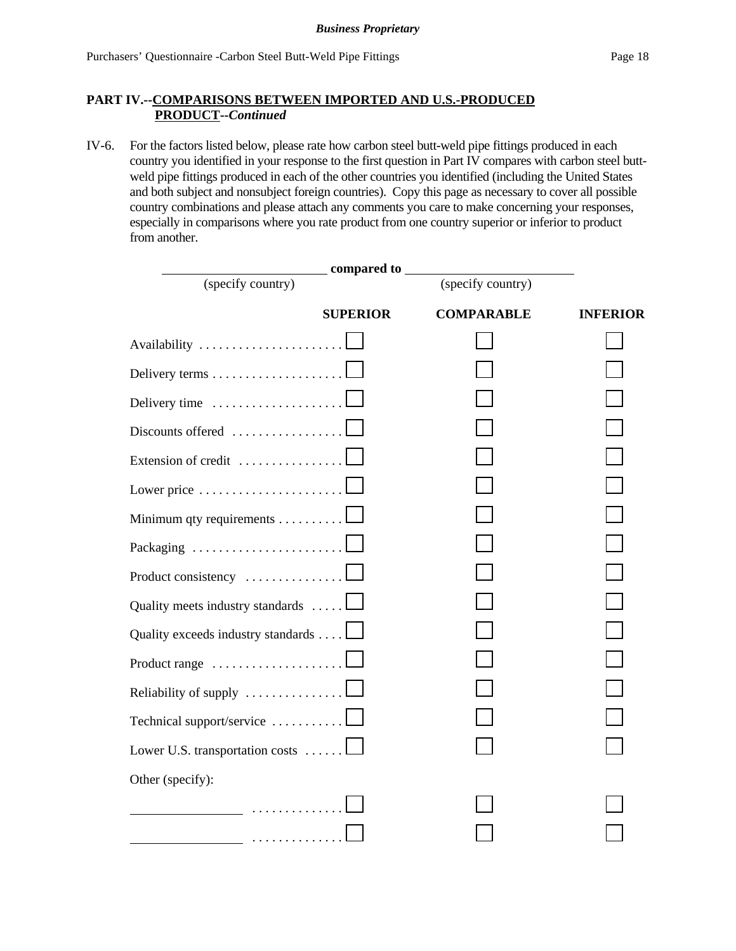### **PART IV.--COMPARISONS BETWEEN IMPORTED AND U.S.-PRODUCED PRODUCT--***Continued*

IV-6. For the factors listed below, please rate how carbon steel butt-weld pipe fittings produced in each country you identified in your response to the first question in Part IV compares with carbon steel buttweld pipe fittings produced in each of the other countries you identified (including the United States and both subject and nonsubject foreign countries). Copy this page as necessary to cover all possible country combinations and please attach any comments you care to make concerning your responses, especially in comparisons where you rate product from one country superior or inferior to product from another.

|                                    | _compared to ___  |                 |
|------------------------------------|-------------------|-----------------|
| (specify country)                  | (specify country) |                 |
| <b>SUPERIOR</b>                    | <b>COMPARABLE</b> | <b>INFERIOR</b> |
| Availability                       |                   |                 |
|                                    |                   |                 |
| Delivery time                      |                   |                 |
| Discounts offered                  |                   |                 |
| Extension of credit                |                   |                 |
| Lower price                        |                   |                 |
| Minimum qty requirements           |                   |                 |
| Packaging                          |                   |                 |
| Product consistency                |                   |                 |
| Quality meets industry standards   |                   |                 |
| Quality exceeds industry standards |                   |                 |
| Product range                      |                   |                 |
| Reliability of supply              |                   |                 |
| Technical support/service          |                   |                 |
| Lower U.S. transportation costs    |                   |                 |
| Other (specify):                   |                   |                 |
| .                                  |                   |                 |
|                                    |                   |                 |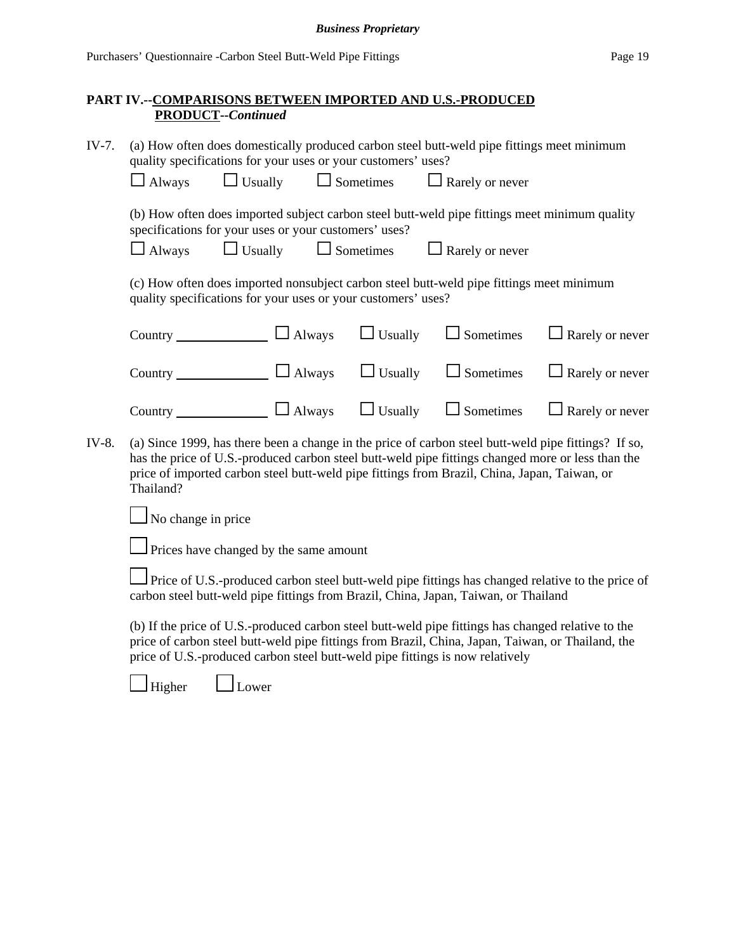### **PART IV.--COMPARISONS BETWEEN IMPORTED AND U.S.-PRODUCED PRODUCT--***Continued*

| IV-7.                                                                                                                                                                                                                                                                                                                           | (a) How often does domestically produced carbon steel butt-weld pipe fittings meet minimum<br>quality specifications for your uses or your customers' uses?                                                                                                                              |                                                               |  |                  |                                                                                          |                        |  |
|---------------------------------------------------------------------------------------------------------------------------------------------------------------------------------------------------------------------------------------------------------------------------------------------------------------------------------|------------------------------------------------------------------------------------------------------------------------------------------------------------------------------------------------------------------------------------------------------------------------------------------|---------------------------------------------------------------|--|------------------|------------------------------------------------------------------------------------------|------------------------|--|
|                                                                                                                                                                                                                                                                                                                                 | $\Box$ Always                                                                                                                                                                                                                                                                            | $\Box$ Usually                                                |  | Sometimes        | $\Box$ Rarely or never                                                                   |                        |  |
| (b) How often does imported subject carbon steel butt-weld pipe fittings meet minimum quality<br>specifications for your uses or your customers' uses?                                                                                                                                                                          |                                                                                                                                                                                                                                                                                          |                                                               |  |                  |                                                                                          |                        |  |
|                                                                                                                                                                                                                                                                                                                                 | $\Box$ Always                                                                                                                                                                                                                                                                            | $\Box$ Usually                                                |  | $\Box$ Sometimes | $\Box$ Rarely or never                                                                   |                        |  |
|                                                                                                                                                                                                                                                                                                                                 |                                                                                                                                                                                                                                                                                          | quality specifications for your uses or your customers' uses? |  |                  | (c) How often does imported nonsubject carbon steel butt-weld pipe fittings meet minimum |                        |  |
|                                                                                                                                                                                                                                                                                                                                 |                                                                                                                                                                                                                                                                                          | Country $\Box$ Always                                         |  | $\Box$ Usually   | $\Box$ Sometimes                                                                         | $\Box$ Rarely or never |  |
|                                                                                                                                                                                                                                                                                                                                 |                                                                                                                                                                                                                                                                                          | Country $\Box$ Always $\Box$ Usually                          |  |                  | $\Box$ Sometimes                                                                         | $\Box$ Rarely or never |  |
|                                                                                                                                                                                                                                                                                                                                 |                                                                                                                                                                                                                                                                                          | Country $\Box$ Always                                         |  | $\Box$ Usually   | $\Box$ Sometimes                                                                         | $\Box$ Rarely or never |  |
| (a) Since 1999, has there been a change in the price of carbon steel butt-weld pipe fittings? If so,<br>IV-8.<br>has the price of U.S.-produced carbon steel butt-weld pipe fittings changed more or less than the<br>price of imported carbon steel butt-weld pipe fittings from Brazil, China, Japan, Taiwan, or<br>Thailand? |                                                                                                                                                                                                                                                                                          |                                                               |  |                  |                                                                                          |                        |  |
|                                                                                                                                                                                                                                                                                                                                 | No change in price                                                                                                                                                                                                                                                                       |                                                               |  |                  |                                                                                          |                        |  |
|                                                                                                                                                                                                                                                                                                                                 |                                                                                                                                                                                                                                                                                          | Prices have changed by the same amount                        |  |                  |                                                                                          |                        |  |
| Price of U.S.-produced carbon steel butt-weld pipe fittings has changed relative to the price of<br>carbon steel butt-weld pipe fittings from Brazil, China, Japan, Taiwan, or Thailand                                                                                                                                         |                                                                                                                                                                                                                                                                                          |                                                               |  |                  |                                                                                          |                        |  |
|                                                                                                                                                                                                                                                                                                                                 | (b) If the price of U.S.-produced carbon steel butt-weld pipe fittings has changed relative to the<br>price of carbon steel butt-weld pipe fittings from Brazil, China, Japan, Taiwan, or Thailand, the<br>price of U.S.-produced carbon steel butt-weld pipe fittings is now relatively |                                                               |  |                  |                                                                                          |                        |  |
|                                                                                                                                                                                                                                                                                                                                 | Higher                                                                                                                                                                                                                                                                                   | Lower                                                         |  |                  |                                                                                          |                        |  |